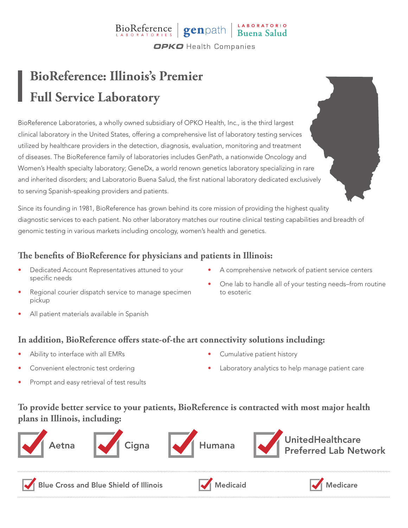# BioReference genpath Buena Salud

**OPKO** Health Companies

## **BioReference: Illinois's Premier Full Service Laboratory**

BioReference Laboratories, a wholly owned subsidiary of OPKO Health, Inc., is the third largest clinical laboratory in the United States, offering a comprehensive list of laboratory testing services utilized by healthcare providers in the detection, diagnosis, evaluation, monitoring and treatment of diseases. The BioReference family of laboratories includes GenPath, a nationwide Oncology and Women's Health specialty laboratory; GeneDx, a world renown genetics laboratory specializing in rare and inherited disorders; and Laboratorio Buena Salud, the first national laboratory dedicated exclusively to serving Spanish-speaking providers and patients.

Since its founding in 1981, BioReference has grown behind its core mission of providing the highest quality diagnostic services to each patient. No other laboratory matches our routine clinical testing capabilities and breadth of genomic testing in various markets including oncology, women's health and genetics.

#### **The benefits of BioReference for physicians and patients in Illinois:**

- Dedicated Account Representatives attuned to your specific needs
- A comprehensive network of patient service centers
- Regional courier dispatch service to manage specimen pickup
- One lab to handle all of your testing needs–from routine to esoteric

All patient materials available in Spanish

#### **In addition, BioReference offers state-of-the art connectivity solutions including:**

- Ability to interface with all EMRs
- Convenient electronic test ordering
- Prompt and easy retrieval of test results
- Cumulative patient history
- Laboratory analytics to help manage patient care

#### **To provide better service to your patients, BioReference is contracted with most major health plans in Illinois, including:**